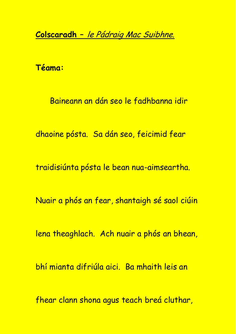**Colscaradh –** le Pádraig Mac Suibhne.

**Téama:**

Baineann an dán seo le fadhbanna idir

dhaoine pósta. Sa dán seo, feicimid fear

traidisiúnta pósta le bean nua-aimseartha.

Nuair a phós an fear, shantaigh sé saol ciúin

lena theaghlach. Ach nuair a phós an bhean,

bhí mianta difriúla aici. Ba mhaith leis an

fhear clann shona agus teach breá cluthar,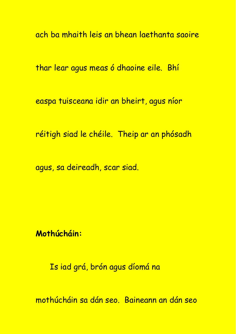ach ba mhaith leis an bhean laethanta saoire

thar lear agus meas ó dhaoine eile. Bhí

easpa tuisceana idir an bheirt, agus níor

réitigh siad le chéile. Theip ar an phósadh

agus, sa deireadh, scar siad.

**Mothúcháin:**

Is iad grá, brón agus díomá na

mothúcháin sa dán seo. Baineann an dán seo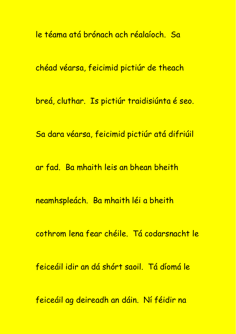le téama atá brónach ach réalaíoch. Sa chéad véarsa, feicimid pictiúr de theach breá, cluthar. Is pictiúr traidisiúnta é seo. Sa dara véarsa, feicimid pictiúr atá difriúil ar fad. Ba mhaith leis an bhean bheith neamhspleách. Ba mhaith léi a bheith cothrom lena fear chéile. Tá codarsnacht le feiceáil idir an dá shórt saoil. Tá díomá le feiceáil ag deireadh an dáin. Ní féidir na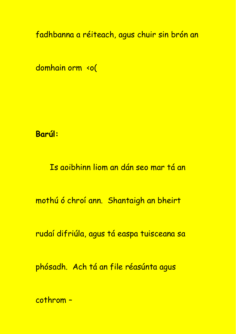fadhbanna a réiteach, agus chuir sin brón an

domhain orm <o(

**Barúl:**

Is aoibhinn liom an dán seo mar tá an

mothú ó chroí ann. Shantaigh an bheirt

rudaí difriúla, agus tá easpa tuisceana sa

phósadh. Ach tá an file réasúnta agus

cothrom –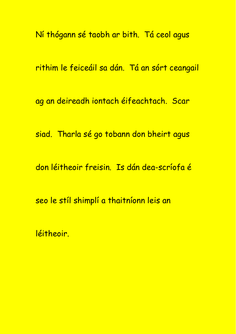Ní thógann sé taobh ar bith. Tá ceol agus

rithim le feiceáil sa dán. Tá an sórt ceangail

ag an deireadh iontach éifeachtach. Scar

siad. Tharla sé go tobann don bheirt agus

don léitheoir freisin. Is dán dea-scríofa é

seo le stíl shimplí a thaitníonn leis an

léitheoir.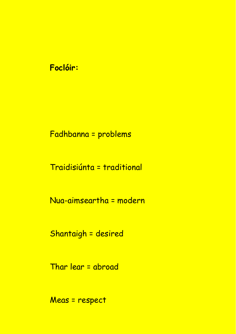## **Foclóir:**

## Fadhbanna = problems

Traidisiúnta = traditional

Nua-aimseartha = modern

Shantaigh = desired

Thar lear = abroad

Meas = respect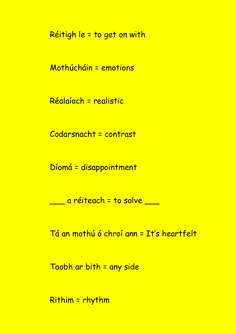Réitigh le = to get on with

Mothúcháin = emotions

Réalaíoch = realistic

Codarsnacht = contrast

Díomá = disappointment

\_\_\_ a réiteach = to solve \_\_\_

Tá an mothú ó chroí ann = It's heartfelt

Taobh ar bith = any side

Rithim = rhythm